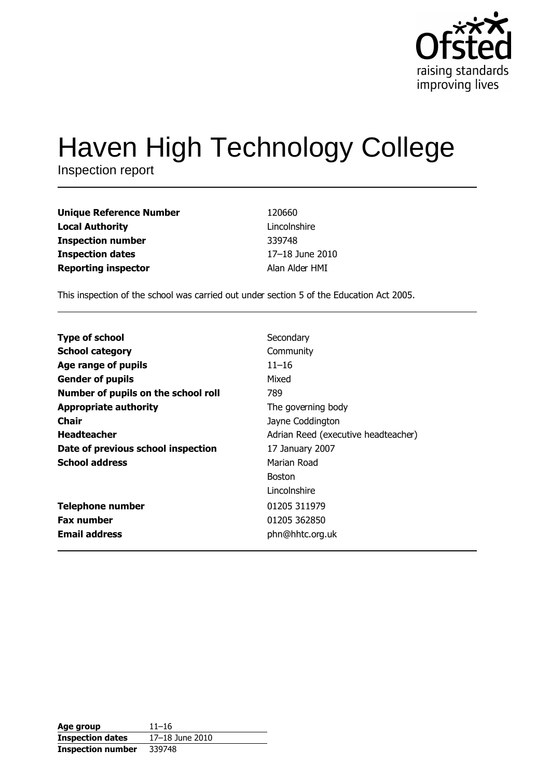

# Haven High Technology College

Inspection report

| <b>Unique Reference Number</b> | 120660          |
|--------------------------------|-----------------|
| <b>Local Authority</b>         | Lincolnshire    |
| <b>Inspection number</b>       | 339748          |
| <b>Inspection dates</b>        | 17-18 June 2010 |
| <b>Reporting inspector</b>     | Alan Alder HMI  |

This inspection of the school was carried out under section 5 of the Education Act 2005.

| <b>Type of school</b>               | Secondary                           |
|-------------------------------------|-------------------------------------|
| <b>School category</b>              | Community                           |
| Age range of pupils                 | $11 - 16$                           |
| <b>Gender of pupils</b>             | Mixed                               |
| Number of pupils on the school roll | 789                                 |
| <b>Appropriate authority</b>        | The governing body                  |
| Chair                               | Jayne Coddington                    |
| <b>Headteacher</b>                  | Adrian Reed (executive headteacher) |
| Date of previous school inspection  | 17 January 2007                     |
| <b>School address</b>               | Marian Road                         |
|                                     | <b>Boston</b>                       |
|                                     | Lincolnshire                        |
| <b>Telephone number</b>             | 01205 311979                        |
| <b>Fax number</b>                   | 01205 362850                        |
| <b>Email address</b>                | phn@hhtc.org.uk                     |

| Age group               | $11 - 16$       |
|-------------------------|-----------------|
| <b>Inspection dates</b> | 17-18 June 2010 |
| Inspection number       | 339748          |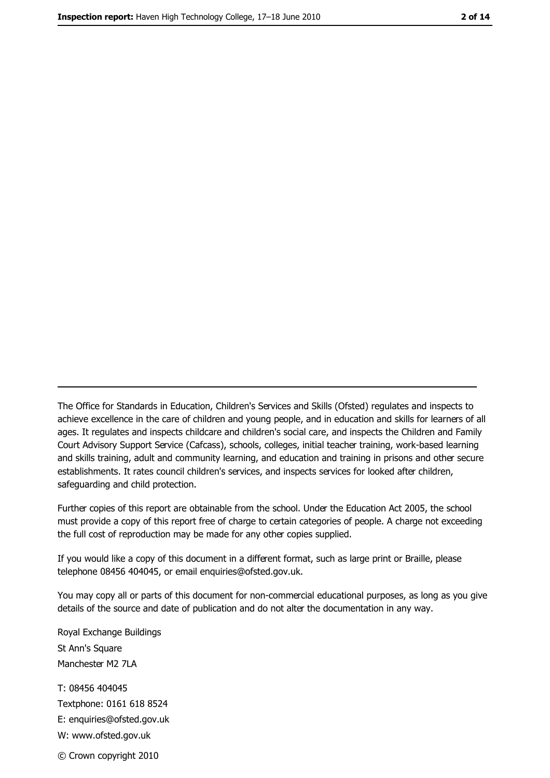The Office for Standards in Education, Children's Services and Skills (Ofsted) regulates and inspects to achieve excellence in the care of children and young people, and in education and skills for learners of all ages. It regulates and inspects childcare and children's social care, and inspects the Children and Family Court Advisory Support Service (Cafcass), schools, colleges, initial teacher training, work-based learning and skills training, adult and community learning, and education and training in prisons and other secure establishments. It rates council children's services, and inspects services for looked after children, safequarding and child protection.

Further copies of this report are obtainable from the school. Under the Education Act 2005, the school must provide a copy of this report free of charge to certain categories of people. A charge not exceeding the full cost of reproduction may be made for any other copies supplied.

If you would like a copy of this document in a different format, such as large print or Braille, please telephone 08456 404045, or email enquiries@ofsted.gov.uk.

You may copy all or parts of this document for non-commercial educational purposes, as long as you give details of the source and date of publication and do not alter the documentation in any way.

Royal Exchange Buildings St Ann's Square Manchester M2 7LA T: 08456 404045 Textphone: 0161 618 8524 E: enquiries@ofsted.gov.uk W: www.ofsted.gov.uk

© Crown copyright 2010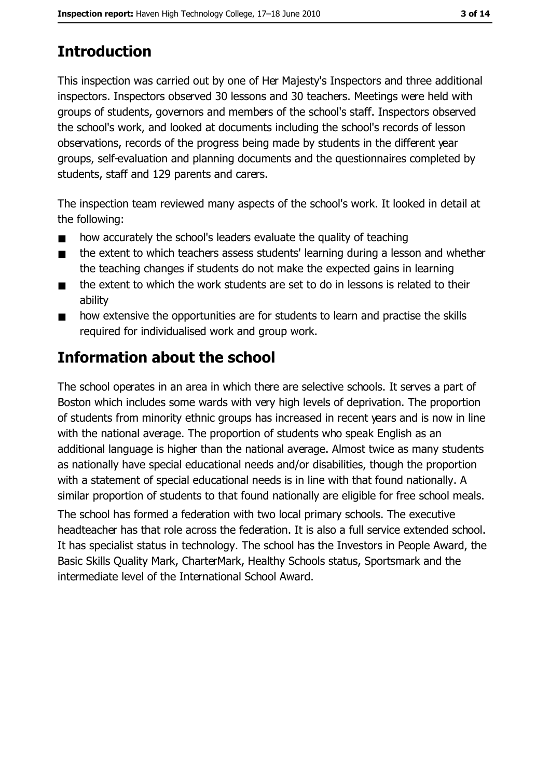# **Introduction**

This inspection was carried out by one of Her Majesty's Inspectors and three additional inspectors. Inspectors observed 30 lessons and 30 teachers. Meetings were held with groups of students, governors and members of the school's staff. Inspectors observed the school's work, and looked at documents including the school's records of lesson observations, records of the progress being made by students in the different year groups, self-evaluation and planning documents and the questionnaires completed by students, staff and 129 parents and carers.

The inspection team reviewed many aspects of the school's work. It looked in detail at the following:

- how accurately the school's leaders evaluate the quality of teaching  $\blacksquare$
- the extent to which teachers assess students' learning during a lesson and whether  $\blacksquare$ the teaching changes if students do not make the expected gains in learning
- the extent to which the work students are set to do in lessons is related to their  $\blacksquare$ ability
- how extensive the opportunities are for students to learn and practise the skills  $\blacksquare$ required for individualised work and group work.

# Information about the school

The school operates in an area in which there are selective schools. It serves a part of Boston which includes some wards with very high levels of deprivation. The proportion of students from minority ethnic groups has increased in recent years and is now in line with the national average. The proportion of students who speak English as an additional language is higher than the national average. Almost twice as many students as nationally have special educational needs and/or disabilities, though the proportion with a statement of special educational needs is in line with that found nationally. A similar proportion of students to that found nationally are eligible for free school meals. The school has formed a federation with two local primary schools. The executive headteacher has that role across the federation. It is also a full service extended school. It has specialist status in technology. The school has the Investors in People Award, the Basic Skills Quality Mark, CharterMark, Healthy Schools status, Sportsmark and the intermediate level of the International School Award.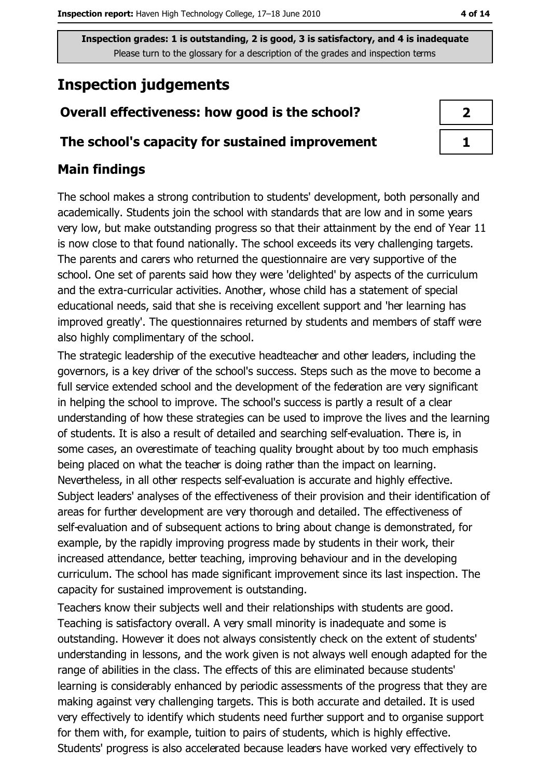# **Inspection judgements**

### Overall effectiveness: how good is the school?

### The school's capacity for sustained improvement

## **Main findings**

The school makes a strong contribution to students' development, both personally and academically. Students join the school with standards that are low and in some years very low, but make outstanding progress so that their attainment by the end of Year 11 is now close to that found nationally. The school exceeds its very challenging targets. The parents and carers who returned the questionnaire are very supportive of the school. One set of parents said how they were 'delighted' by aspects of the curriculum and the extra-curricular activities. Another, whose child has a statement of special educational needs, said that she is receiving excellent support and 'her learning has improved greatly'. The questionnaires returned by students and members of staff were also highly complimentary of the school.

The strategic leadership of the executive headteacher and other leaders, including the governors, is a key driver of the school's success. Steps such as the move to become a full service extended school and the development of the federation are very significant in helping the school to improve. The school's success is partly a result of a clear understanding of how these strategies can be used to improve the lives and the learning of students. It is also a result of detailed and searching self-evaluation. There is, in some cases, an overestimate of teaching quality brought about by too much emphasis being placed on what the teacher is doing rather than the impact on learning. Nevertheless, in all other respects self-evaluation is accurate and highly effective. Subject leaders' analyses of the effectiveness of their provision and their identification of areas for further development are very thorough and detailed. The effectiveness of self-evaluation and of subsequent actions to bring about change is demonstrated, for example, by the rapidly improving progress made by students in their work, their increased attendance, better teaching, improving behaviour and in the developing curriculum. The school has made significant improvement since its last inspection. The capacity for sustained improvement is outstanding.

Teachers know their subjects well and their relationships with students are good. Teaching is satisfactory overall. A very small minority is inadequate and some is outstanding. However it does not always consistently check on the extent of students' understanding in lessons, and the work given is not always well enough adapted for the range of abilities in the class. The effects of this are eliminated because students' learning is considerably enhanced by periodic assessments of the progress that they are making against very challenging targets. This is both accurate and detailed. It is used very effectively to identify which students need further support and to organise support for them with, for example, tuition to pairs of students, which is highly effective. Students' progress is also accelerated because leaders have worked very effectively to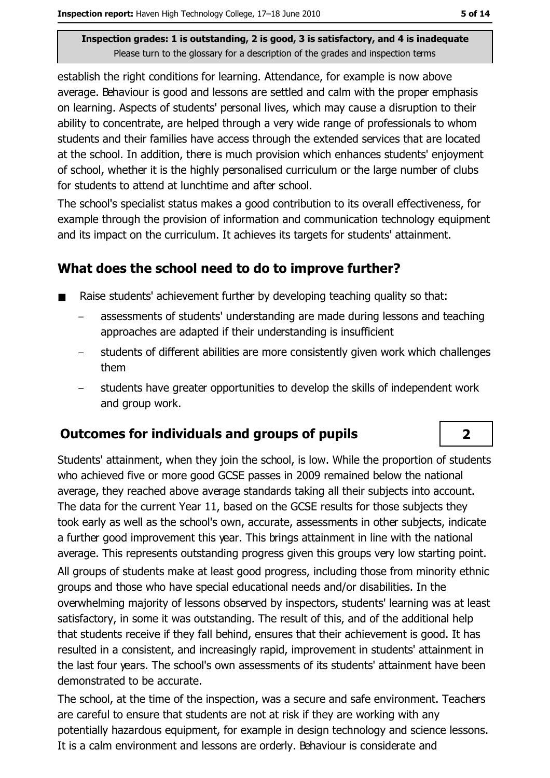establish the right conditions for learning. Attendance, for example is now above average. Behaviour is good and lessons are settled and calm with the proper emphasis on learning. Aspects of students' personal lives, which may cause a disruption to their ability to concentrate, are helped through a very wide range of professionals to whom students and their families have access through the extended services that are located at the school. In addition, there is much provision which enhances students' eniovment of school, whether it is the highly personalised curriculum or the large number of clubs for students to attend at lunchtime and after school.

The school's specialist status makes a good contribution to its overall effectiveness, for example through the provision of information and communication technology equipment and its impact on the curriculum. It achieves its targets for students' attainment.

### What does the school need to do to improve further?

- Raise students' achievement further by developing teaching quality so that:  $\blacksquare$ 
	- assessments of students' understanding are made during lessons and teaching approaches are adapted if their understanding is insufficient
	- students of different abilities are more consistently given work which challenges them
	- students have greater opportunities to develop the skills of independent work and group work.

### **Outcomes for individuals and groups of pupils**

Students' attainment, when they join the school, is low. While the proportion of students who achieved five or more good GCSE passes in 2009 remained below the national average, they reached above average standards taking all their subjects into account. The data for the current Year 11, based on the GCSE results for those subjects they took early as well as the school's own, accurate, assessments in other subjects, indicate a further good improvement this year. This brings attainment in line with the national average. This represents outstanding progress given this groups very low starting point. All groups of students make at least good progress, including those from minority ethnic groups and those who have special educational needs and/or disabilities. In the overwhelming majority of lessons observed by inspectors, students' learning was at least satisfactory, in some it was outstanding. The result of this, and of the additional help that students receive if they fall behind, ensures that their achievement is good. It has resulted in a consistent, and increasingly rapid, improvement in students' attainment in the last four years. The school's own assessments of its students' attainment have been demonstrated to be accurate.

The school, at the time of the inspection, was a secure and safe environment. Teachers are careful to ensure that students are not at risk if they are working with any potentially hazardous equipment, for example in design technology and science lessons. It is a calm environment and lessons are orderly. Behaviour is considerate and

 $\overline{\mathbf{2}}$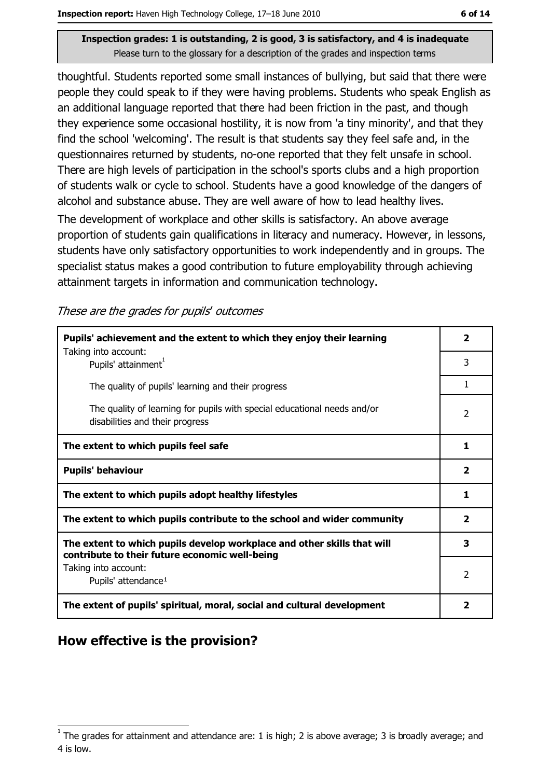thoughtful. Students reported some small instances of bullying, but said that there were people they could speak to if they were having problems. Students who speak English as an additional language reported that there had been friction in the past, and though they experience some occasional hostility, it is now from 'a tiny minority', and that they find the school 'welcoming'. The result is that students say they feel safe and, in the questionnaires returned by students, no-one reported that they felt unsafe in school. There are high levels of participation in the school's sports clubs and a high proportion of students walk or cycle to school. Students have a good knowledge of the dangers of alcohol and substance abuse. They are well aware of how to lead healthy lives.

The development of workplace and other skills is satisfactory. An above average proportion of students gain qualifications in literacy and numeracy. However, in lessons, students have only satisfactory opportunities to work independently and in groups. The specialist status makes a good contribution to future employability through achieving attainment targets in information and communication technology.

These are the grades for pupils' outcomes

| Pupils' achievement and the extent to which they enjoy their learning<br>Taking into account:                             | 2                        |
|---------------------------------------------------------------------------------------------------------------------------|--------------------------|
| Pupils' attainment <sup>1</sup>                                                                                           | 3                        |
| The quality of pupils' learning and their progress                                                                        | 1                        |
| The quality of learning for pupils with special educational needs and/or<br>disabilities and their progress               | $\overline{\phantom{a}}$ |
| The extent to which pupils feel safe                                                                                      | 1                        |
| <b>Pupils' behaviour</b>                                                                                                  | $\overline{\mathbf{2}}$  |
| The extent to which pupils adopt healthy lifestyles                                                                       | 1                        |
| The extent to which pupils contribute to the school and wider community                                                   |                          |
| The extent to which pupils develop workplace and other skills that will<br>contribute to their future economic well-being | 3                        |
| Taking into account:<br>Pupils' attendance <sup>1</sup>                                                                   | $\overline{2}$           |
| The extent of pupils' spiritual, moral, social and cultural development                                                   | 2                        |

### How effective is the provision?

 $1$  The arades for attainment and attendance are: 1 is high; 2 is above average; 3 is broadly average; and 4 is low.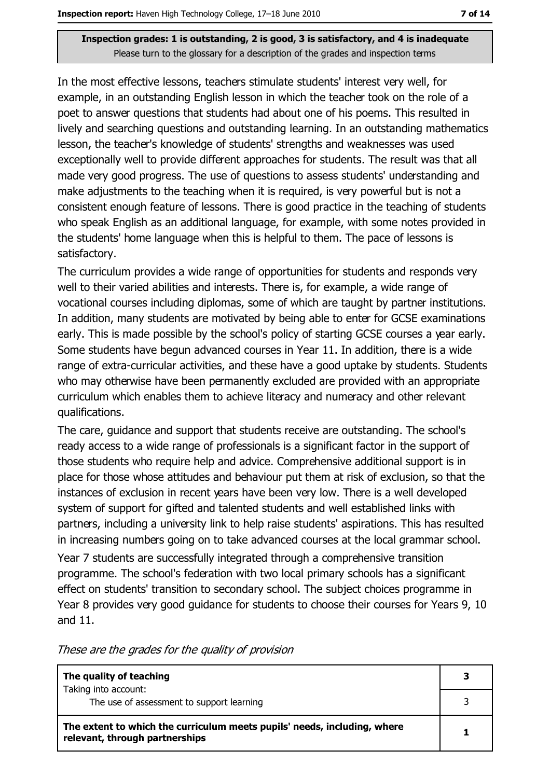In the most effective lessons, teachers stimulate students' interest very well, for example, in an outstanding English lesson in which the teacher took on the role of a poet to answer questions that students had about one of his poems. This resulted in lively and searching questions and outstanding learning. In an outstanding mathematics lesson, the teacher's knowledge of students' strengths and weaknesses was used exceptionally well to provide different approaches for students. The result was that all made very good progress. The use of questions to assess students' understanding and make adjustments to the teaching when it is required, is very powerful but is not a consistent enough feature of lessons. There is good practice in the teaching of students who speak English as an additional language, for example, with some notes provided in the students' home language when this is helpful to them. The pace of lessons is satisfactory.

The curriculum provides a wide range of opportunities for students and responds very well to their varied abilities and interests. There is, for example, a wide range of vocational courses including diplomas, some of which are taught by partner institutions. In addition, many students are motivated by being able to enter for GCSE examinations early. This is made possible by the school's policy of starting GCSE courses a year early. Some students have begun advanced courses in Year 11. In addition, there is a wide range of extra-curricular activities, and these have a good uptake by students. Students who may otherwise have been permanently excluded are provided with an appropriate curriculum which enables them to achieve literacy and numeracy and other relevant qualifications.

The care, guidance and support that students receive are outstanding. The school's ready access to a wide range of professionals is a significant factor in the support of those students who require help and advice. Comprehensive additional support is in place for those whose attitudes and behaviour put them at risk of exclusion, so that the instances of exclusion in recent years have been very low. There is a well developed system of support for gifted and talented students and well established links with partners, including a university link to help raise students' aspirations. This has resulted in increasing numbers going on to take advanced courses at the local grammar school. Year 7 students are successfully integrated through a comprehensive transition programme. The school's federation with two local primary schools has a significant effect on students' transition to secondary school. The subject choices programme in Year 8 provides very good guidance for students to choose their courses for Years 9, 10 and 11.

These are the grades for the quality of provision

| The quality of teaching                                                                                    |  |
|------------------------------------------------------------------------------------------------------------|--|
| Taking into account:<br>The use of assessment to support learning                                          |  |
| The extent to which the curriculum meets pupils' needs, including, where<br>relevant, through partnerships |  |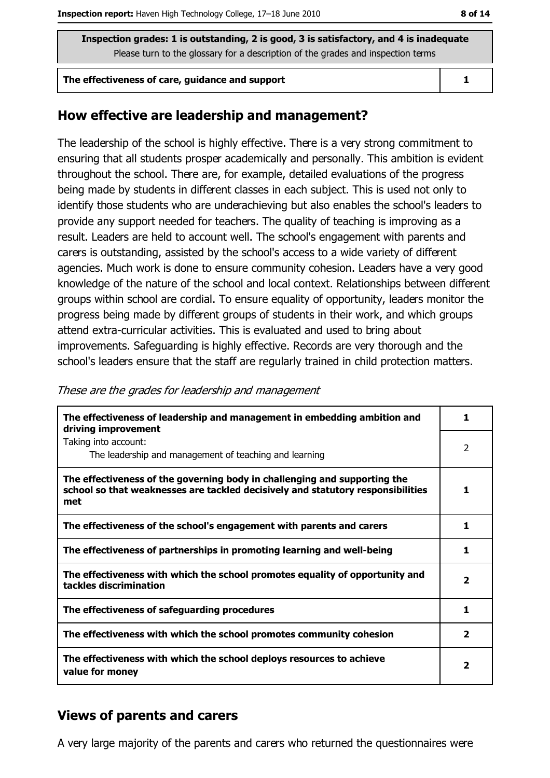#### The effectiveness of care, quidance and support

#### $\mathbf{1}$

#### How effective are leadership and management?

The leadership of the school is highly effective. There is a very strong commitment to ensuring that all students prosper academically and personally. This ambition is evident throughout the school. There are, for example, detailed evaluations of the progress being made by students in different classes in each subject. This is used not only to identify those students who are underachieving but also enables the school's leaders to provide any support needed for teachers. The quality of teaching is improving as a result. Leaders are held to account well. The school's engagement with parents and carers is outstanding, assisted by the school's access to a wide variety of different agencies. Much work is done to ensure community cohesion. Leaders have a very good knowledge of the nature of the school and local context. Relationships between different groups within school are cordial. To ensure equality of opportunity, leaders monitor the progress being made by different groups of students in their work, and which groups attend extra-curricular activities. This is evaluated and used to bring about improvements. Safeguarding is highly effective. Records are very thorough and the school's leaders ensure that the staff are regularly trained in child protection matters.

| These are the grades for leadership and management |  |  |
|----------------------------------------------------|--|--|
|----------------------------------------------------|--|--|

| The effectiveness of leadership and management in embedding ambition and<br>driving improvement                                                                     |              |
|---------------------------------------------------------------------------------------------------------------------------------------------------------------------|--------------|
| Taking into account:<br>The leadership and management of teaching and learning                                                                                      | 2            |
| The effectiveness of the governing body in challenging and supporting the<br>school so that weaknesses are tackled decisively and statutory responsibilities<br>met | 1            |
| The effectiveness of the school's engagement with parents and carers                                                                                                | 1            |
| The effectiveness of partnerships in promoting learning and well-being                                                                                              | 1.           |
| The effectiveness with which the school promotes equality of opportunity and<br>tackles discrimination                                                              | 2            |
| The effectiveness of safeguarding procedures                                                                                                                        | 1            |
| The effectiveness with which the school promotes community cohesion                                                                                                 | $\mathbf{2}$ |
| The effectiveness with which the school deploys resources to achieve<br>value for money                                                                             | 2            |

#### **Views of parents and carers**

A very large majority of the parents and carers who returned the questionnaires were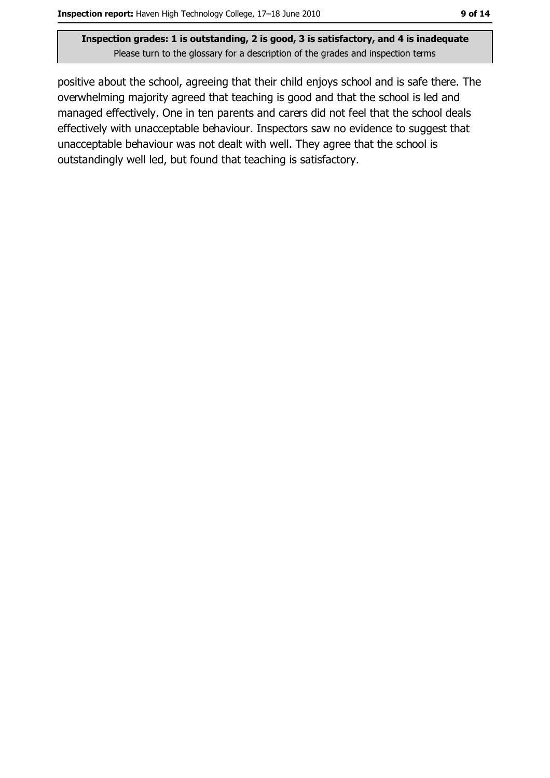positive about the school, agreeing that their child enjoys school and is safe there. The overwhelming majority agreed that teaching is good and that the school is led and managed effectively. One in ten parents and carers did not feel that the school deals effectively with unacceptable behaviour. Inspectors saw no evidence to suggest that unacceptable behaviour was not dealt with well. They agree that the school is outstandingly well led, but found that teaching is satisfactory.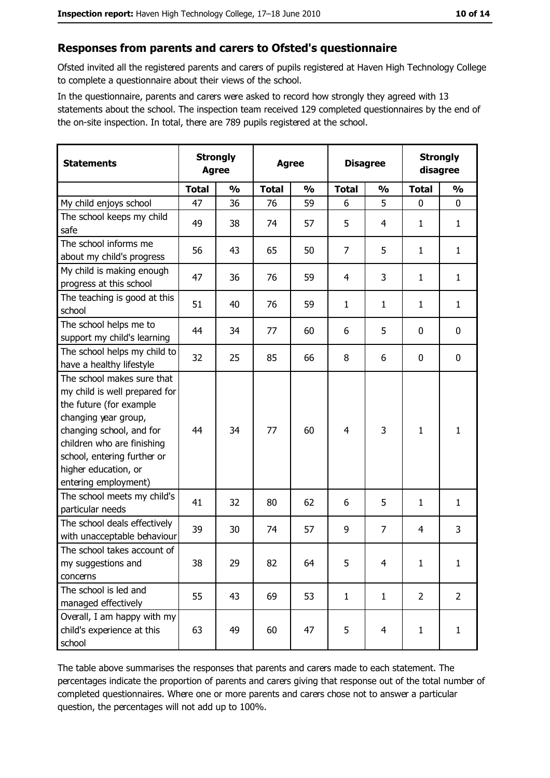#### Responses from parents and carers to Ofsted's questionnaire

Ofsted invited all the registered parents and carers of pupils registered at Haven High Technology College to complete a questionnaire about their views of the school.

In the questionnaire, parents and carers were asked to record how strongly they agreed with 13 statements about the school. The inspection team received 129 completed questionnaires by the end of the on-site inspection. In total, there are 789 pupils registered at the school.

| <b>Statements</b>                                                                                                                                                                                                                                       | <b>Strongly</b><br><b>Agree</b> |               | <b>Agree</b> |               | <b>Disagree</b> |                | <b>Strongly</b><br>disagree |                |
|---------------------------------------------------------------------------------------------------------------------------------------------------------------------------------------------------------------------------------------------------------|---------------------------------|---------------|--------------|---------------|-----------------|----------------|-----------------------------|----------------|
|                                                                                                                                                                                                                                                         | <b>Total</b>                    | $\frac{1}{2}$ | <b>Total</b> | $\frac{0}{0}$ | <b>Total</b>    | $\frac{0}{0}$  | <b>Total</b>                | $\frac{0}{0}$  |
| My child enjoys school                                                                                                                                                                                                                                  | 47                              | 36            | 76           | 59            | 6               | 5              | $\mathbf 0$                 | $\mathbf 0$    |
| The school keeps my child<br>safe                                                                                                                                                                                                                       | 49                              | 38            | 74           | 57            | 5               | 4              | 1                           | $\mathbf{1}$   |
| The school informs me<br>about my child's progress                                                                                                                                                                                                      | 56                              | 43            | 65           | 50            | $\overline{7}$  | 5              | 1                           | $\mathbf{1}$   |
| My child is making enough<br>progress at this school                                                                                                                                                                                                    | 47                              | 36            | 76           | 59            | 4               | 3              | 1                           | $\mathbf{1}$   |
| The teaching is good at this<br>school                                                                                                                                                                                                                  | 51                              | 40            | 76           | 59            | 1               | $\mathbf{1}$   | 1                           | $\mathbf{1}$   |
| The school helps me to<br>support my child's learning                                                                                                                                                                                                   | 44                              | 34            | 77           | 60            | 6               | 5              | 0                           | $\mathbf 0$    |
| The school helps my child to<br>have a healthy lifestyle                                                                                                                                                                                                | 32                              | 25            | 85           | 66            | 8               | 6              | 0                           | $\mathbf 0$    |
| The school makes sure that<br>my child is well prepared for<br>the future (for example<br>changing year group,<br>changing school, and for<br>children who are finishing<br>school, entering further or<br>higher education, or<br>entering employment) | 44                              | 34            | 77           | 60            | $\overline{4}$  | 3              | $\mathbf{1}$                | $\mathbf{1}$   |
| The school meets my child's<br>particular needs                                                                                                                                                                                                         | 41                              | 32            | 80           | 62            | 6               | 5              | 1                           | $\mathbf{1}$   |
| The school deals effectively<br>with unacceptable behaviour                                                                                                                                                                                             | 39                              | 30            | 74           | 57            | 9               | 7              | 4                           | 3              |
| The school takes account of<br>my suggestions and<br>concerns                                                                                                                                                                                           | 38                              | 29            | 82           | 64            | 5               | 4              | $\mathbf{1}$                | $\mathbf{1}$   |
| The school is led and<br>managed effectively                                                                                                                                                                                                            | 55                              | 43            | 69           | 53            | $\mathbf{1}$    | $\mathbf{1}$   | $\overline{2}$              | $\overline{2}$ |
| Overall, I am happy with my<br>child's experience at this<br>school                                                                                                                                                                                     | 63                              | 49            | 60           | 47            | 5               | $\overline{4}$ | 1                           | $\mathbf{1}$   |

The table above summarises the responses that parents and carers made to each statement. The percentages indicate the proportion of parents and carers giving that response out of the total number of completed questionnaires. Where one or more parents and carers chose not to answer a particular question, the percentages will not add up to 100%.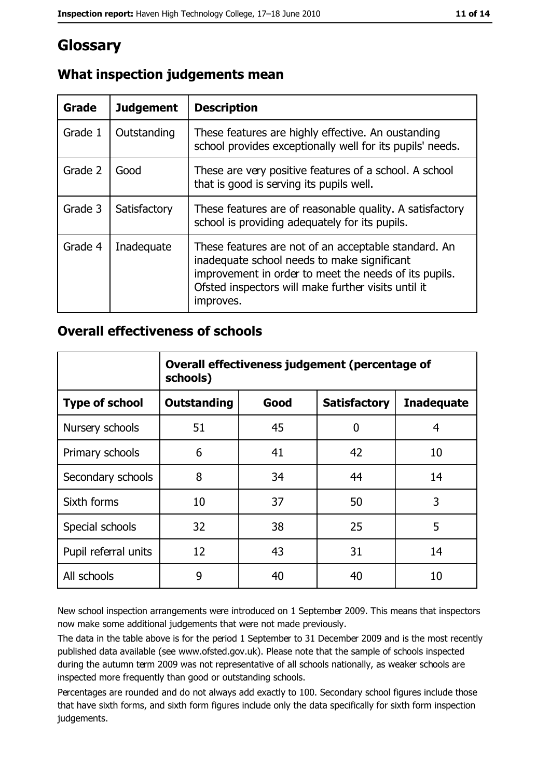# Glossary

| Grade   | <b>Judgement</b> | <b>Description</b>                                                                                                                                                                                                               |
|---------|------------------|----------------------------------------------------------------------------------------------------------------------------------------------------------------------------------------------------------------------------------|
| Grade 1 | Outstanding      | These features are highly effective. An oustanding<br>school provides exceptionally well for its pupils' needs.                                                                                                                  |
| Grade 2 | Good             | These are very positive features of a school. A school<br>that is good is serving its pupils well.                                                                                                                               |
| Grade 3 | Satisfactory     | These features are of reasonable quality. A satisfactory<br>school is providing adequately for its pupils.                                                                                                                       |
| Grade 4 | Inadequate       | These features are not of an acceptable standard. An<br>inadequate school needs to make significant<br>improvement in order to meet the needs of its pupils.<br>Ofsted inspectors will make further visits until it<br>improves. |

# What inspection judgements mean

### **Overall effectiveness of schools**

|                       | Overall effectiveness judgement (percentage of<br>schools) |      |                     |                   |
|-----------------------|------------------------------------------------------------|------|---------------------|-------------------|
| <b>Type of school</b> | <b>Outstanding</b>                                         | Good | <b>Satisfactory</b> | <b>Inadequate</b> |
| Nursery schools       | 51                                                         | 45   | 0                   | 4                 |
| Primary schools       | 6                                                          | 41   | 42                  | 10                |
| Secondary schools     | 8                                                          | 34   | 44                  | 14                |
| Sixth forms           | 10                                                         | 37   | 50                  | 3                 |
| Special schools       | 32                                                         | 38   | 25                  | 5                 |
| Pupil referral units  | 12                                                         | 43   | 31                  | 14                |
| All schools           | 9                                                          | 40   | 40                  | 10                |

New school inspection arrangements were introduced on 1 September 2009. This means that inspectors now make some additional judgements that were not made previously.

The data in the table above is for the period 1 September to 31 December 2009 and is the most recently published data available (see www.ofsted.gov.uk). Please note that the sample of schools inspected during the autumn term 2009 was not representative of all schools nationally, as weaker schools are inspected more frequently than good or outstanding schools.

Percentages are rounded and do not always add exactly to 100. Secondary school figures include those that have sixth forms, and sixth form figures include only the data specifically for sixth form inspection judgements.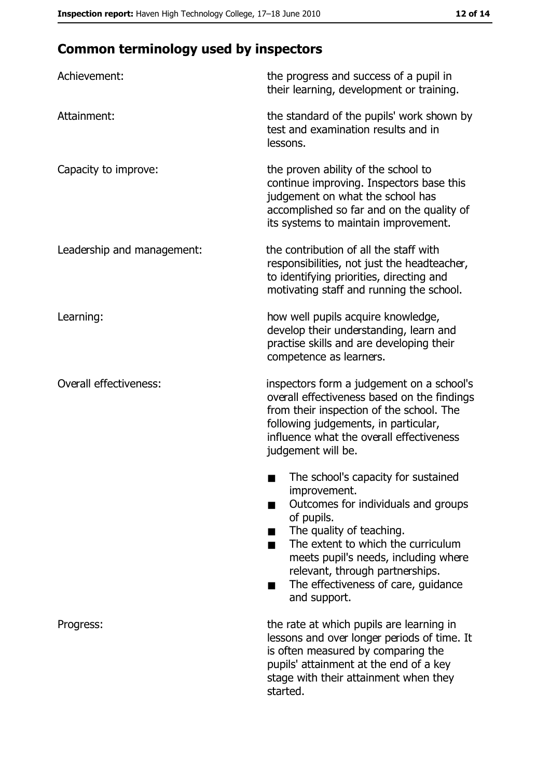# **Common terminology used by inspectors**

| Achievement:               | the progress and success of a pupil in<br>their learning, development or training.                                                                                                                                                                                                                           |
|----------------------------|--------------------------------------------------------------------------------------------------------------------------------------------------------------------------------------------------------------------------------------------------------------------------------------------------------------|
| Attainment:                | the standard of the pupils' work shown by<br>test and examination results and in<br>lessons.                                                                                                                                                                                                                 |
| Capacity to improve:       | the proven ability of the school to<br>continue improving. Inspectors base this<br>judgement on what the school has<br>accomplished so far and on the quality of<br>its systems to maintain improvement.                                                                                                     |
| Leadership and management: | the contribution of all the staff with<br>responsibilities, not just the headteacher,<br>to identifying priorities, directing and<br>motivating staff and running the school.                                                                                                                                |
| Learning:                  | how well pupils acquire knowledge,<br>develop their understanding, learn and<br>practise skills and are developing their<br>competence as learners.                                                                                                                                                          |
| Overall effectiveness:     | inspectors form a judgement on a school's<br>overall effectiveness based on the findings<br>from their inspection of the school. The<br>following judgements, in particular,<br>influence what the overall effectiveness<br>judgement will be.                                                               |
|                            | The school's capacity for sustained<br>improvement.<br>Outcomes for individuals and groups<br>of pupils.<br>The quality of teaching.<br>The extent to which the curriculum<br>meets pupil's needs, including where<br>relevant, through partnerships.<br>The effectiveness of care, guidance<br>and support. |
| Progress:                  | the rate at which pupils are learning in<br>lessons and over longer periods of time. It<br>is often measured by comparing the<br>pupils' attainment at the end of a key<br>stage with their attainment when they<br>started.                                                                                 |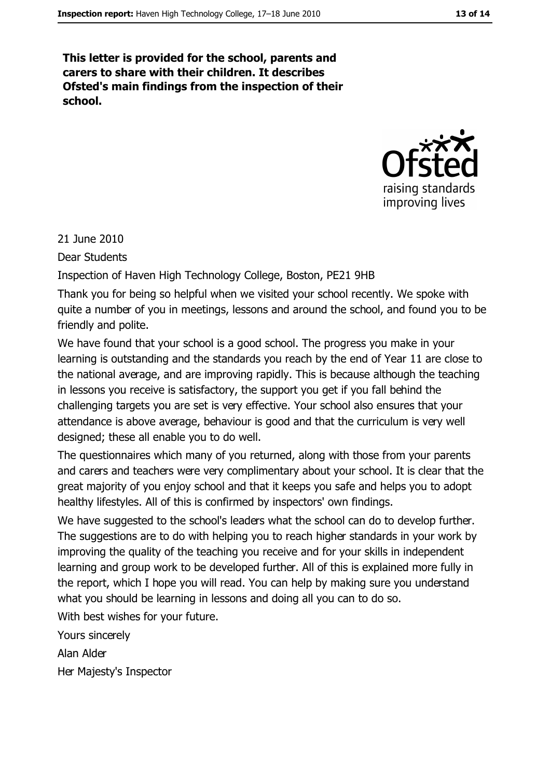This letter is provided for the school, parents and carers to share with their children. It describes Ofsted's main findings from the inspection of their school.



21 June 2010

**Dear Students** 

Inspection of Haven High Technology College, Boston, PE21 9HB

Thank you for being so helpful when we visited your school recently. We spoke with quite a number of you in meetings, lessons and around the school, and found you to be friendly and polite.

We have found that your school is a good school. The progress you make in your learning is outstanding and the standards you reach by the end of Year 11 are close to the national average, and are improving rapidly. This is because although the teaching in lessons you receive is satisfactory, the support you get if you fall behind the challenging targets you are set is very effective. Your school also ensures that your attendance is above average, behaviour is good and that the curriculum is very well designed; these all enable you to do well.

The questionnaires which many of you returned, along with those from your parents and carers and teachers were very complimentary about your school. It is clear that the great majority of you enjoy school and that it keeps you safe and helps you to adopt healthy lifestyles. All of this is confirmed by inspectors' own findings.

We have suggested to the school's leaders what the school can do to develop further. The suggestions are to do with helping you to reach higher standards in your work by improving the quality of the teaching you receive and for your skills in independent learning and group work to be developed further. All of this is explained more fully in the report, which I hope you will read. You can help by making sure you understand what you should be learning in lessons and doing all you can to do so.

With best wishes for your future.

Yours sincerely

Alan Alder

Her Majesty's Inspector